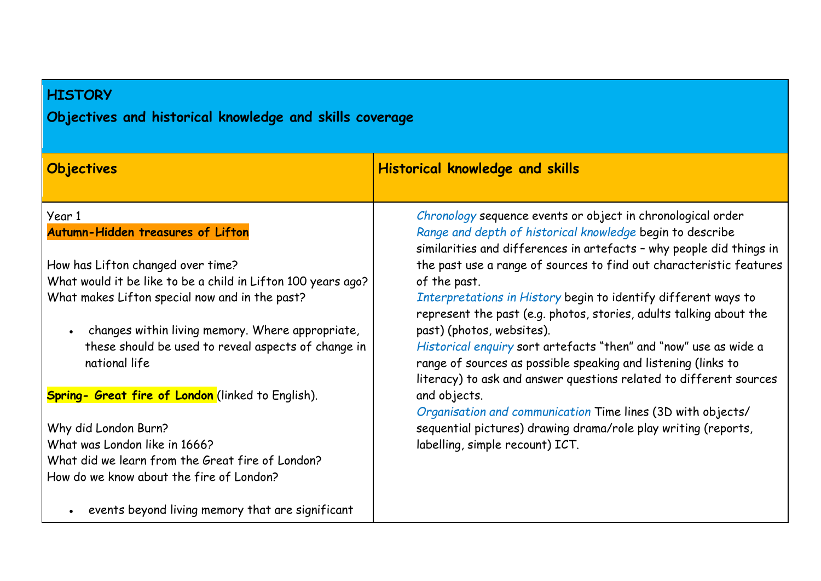## **HISTORY**

# **Objectives and historical knowledge and skills coverage**

| Objectives                                                           | <b>Historical knowledge and skills</b>                                                                                                                                                                  |
|----------------------------------------------------------------------|---------------------------------------------------------------------------------------------------------------------------------------------------------------------------------------------------------|
| Year 1                                                               | Chronology sequence events or object in chronological order                                                                                                                                             |
| Autumn-Hidden treasures of Lifton                                    | Range and depth of historical knowledge begin to describe<br>similarities and differences in artefacts - why people did things in                                                                       |
| How has Lifton changed over time?                                    | the past use a range of sources to find out characteristic features                                                                                                                                     |
| What would it be like to be a child in Lifton 100 years ago?         | of the past.                                                                                                                                                                                            |
| What makes Lifton special now and in the past?                       | Interpretations in History begin to identify different ways to<br>represent the past (e.g. photos, stories, adults talking about the                                                                    |
| changes within living memory. Where appropriate,                     | past) (photos, websites).                                                                                                                                                                               |
| these should be used to reveal aspects of change in<br>national life | Historical enguiry sort artefacts "then" and "now" use as wide a<br>range of sources as possible speaking and listening (links to<br>literacy) to ask and answer questions related to different sources |
| Spring- Great fire of London (linked to English).                    | and objects.                                                                                                                                                                                            |
|                                                                      | Organisation and communication Time lines (3D with objects/                                                                                                                                             |
| Why did London Burn?                                                 | sequential pictures) drawing drama/role play writing (reports,                                                                                                                                          |
| What was London like in 1666?                                        | labelling, simple recount) ICT.                                                                                                                                                                         |
| What did we learn from the Great fire of London?                     |                                                                                                                                                                                                         |
| How do we know about the fire of London?                             |                                                                                                                                                                                                         |
| events beyond living memory that are significant                     |                                                                                                                                                                                                         |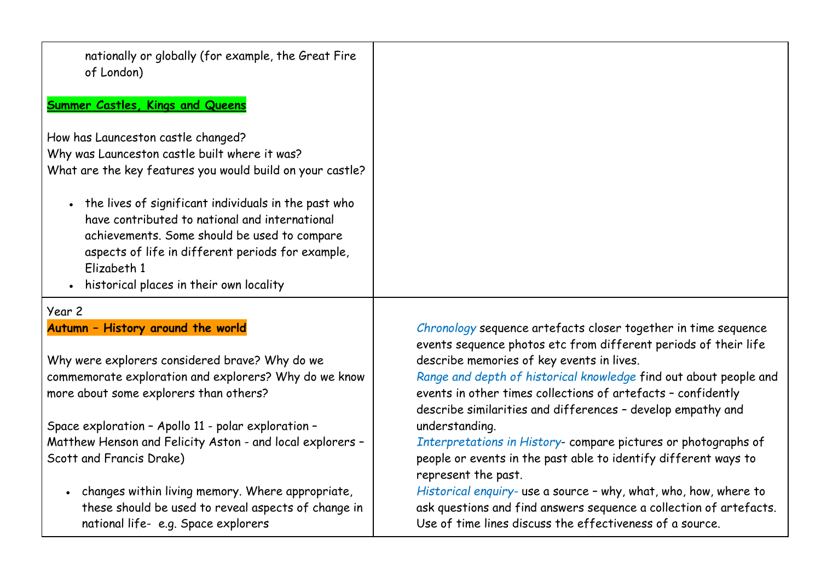| nationally or globally (for example, the Great Fire<br>of London) |                                                                                                                                   |
|-------------------------------------------------------------------|-----------------------------------------------------------------------------------------------------------------------------------|
| <b>Summer Castles, Kings and Queens</b>                           |                                                                                                                                   |
| How has Launceston castle changed?                                |                                                                                                                                   |
| Why was Launceston castle built where it was?                     |                                                                                                                                   |
| What are the key features you would build on your castle?         |                                                                                                                                   |
| • the lives of significant individuals in the past who            |                                                                                                                                   |
| have contributed to national and international                    |                                                                                                                                   |
| achievements. Some should be used to compare                      |                                                                                                                                   |
| aspects of life in different periods for example,                 |                                                                                                                                   |
| Elizabeth 1                                                       |                                                                                                                                   |
| historical places in their own locality<br>$\bullet$              |                                                                                                                                   |
| Year 2                                                            |                                                                                                                                   |
| Autumn - History around the world                                 | Chronology sequence artefacts closer together in time sequence<br>events sequence photos etc from different periods of their life |
| Why were explorers considered brave? Why do we                    | describe memories of key events in lives.                                                                                         |
| commemorate exploration and explorers? Why do we know             | Range and depth of historical knowledge find out about people and                                                                 |
| more about some explorers than others?                            | events in other times collections of artefacts - confidently<br>describe similarities and differences - develop empathy and       |
| Space exploration - Apollo 11 - polar exploration -               | understanding.                                                                                                                    |
| Matthew Henson and Felicity Aston - and local explorers -         | Interpretations in History-compare pictures or photographs of                                                                     |
| Scott and Francis Drake)                                          | people or events in the past able to identify different ways to<br>represent the past.                                            |
| changes within living memory. Where appropriate,                  | Historical enquiry- use a source - why, what, who, how, where to                                                                  |

these should be used to reveal aspects of change in national life- e.g. Space explorers

*Historical enquiry-* use a source – why, what, who, how, where to ask questions and find answers sequence a collection of artefacts. Use of time lines discuss the effectiveness of a source.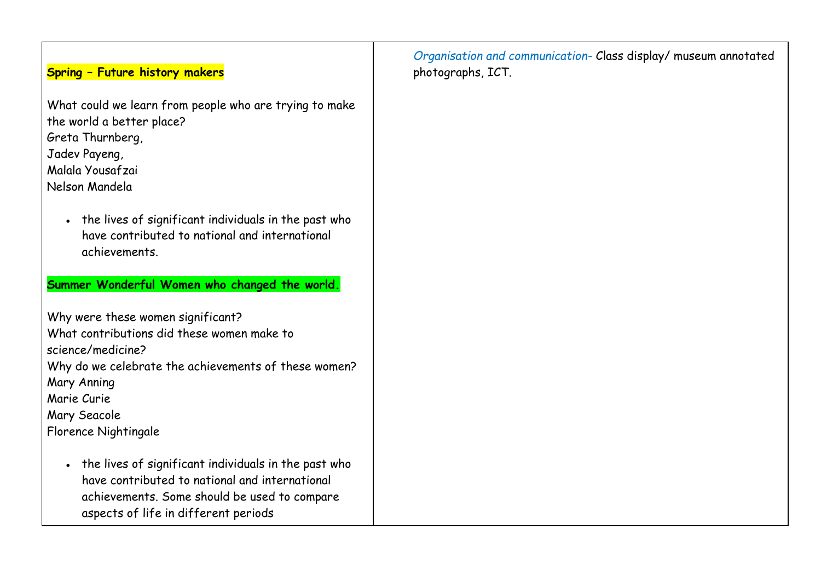## **Spring – Future history makers**

What could we learn from people who are trying to make the world a better place? Greta Thurnberg, Jadev Payeng,

Malala Yousafzai

Nelson Mandela

• the lives of significant individuals in the past who have contributed to national and international achievements.

#### **Summer Wonderful Women who changed the world.**

Why were these women significant? What contributions did these women make to science/medicine? Why do we celebrate the achievements of these women? Mary Anning Marie Curie Mary Seacole Florence Nightingale

• the lives of significant individuals in the past who have contributed to national and international achievements. Some should be used to compare aspects of life in different periods

*Organisation and communication-* Class display/ museum annotated photographs, ICT.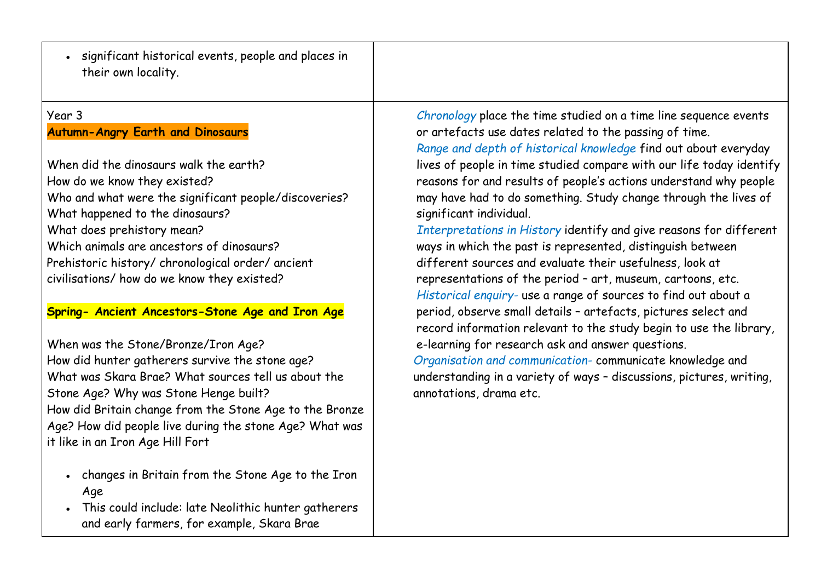• significant historical events, people and places in their own locality.

#### Year 3

## **Autumn-Angry Earth and Dinosaurs**

When did the dinosaurs walk the earth? How do we know they existed? Who and what were the significant people/discoveries? What happened to the dinosaurs? What does prehistory mean? Which animals are ancestors of dinosaurs? Prehistoric history/ chronological order/ ancient civilisations/ how do we know they existed?

#### **Spring- Ancient Ancestors-Stone Age and Iron Age**

When was the Stone/Bronze/Iron Age? How did hunter gatherers survive the stone age? What was Skara Brae? What sources tell us about the Stone Age? Why was Stone Henge built? How did Britain change from the Stone Age to the Bronze Age? How did people live during the stone Age? What was it like in an Iron Age Hill Fort

- changes in Britain from the Stone Age to the Iron Age
- This could include: late Neolithic hunter gatherers and early farmers, for example, Skara Brae

*Chronology* place the time studied on a time line sequence events or artefacts use dates related to the passing of time. *Range and depth of historical knowledge* find out about everyday lives of people in time studied compare with our life today identify reasons for and results of people's actions understand why people may have had to do something. Study change through the lives of significant individual.

*Interpretations in History* identify and give reasons for different ways in which the past is represented, distinguish between different sources and evaluate their usefulness, look at representations of the period – art, museum, cartoons, etc. *Historical enquiry-* use a range of sources to find out about a period, observe small details – artefacts, pictures select and record information relevant to the study begin to use the library, e-learning for research ask and answer questions.

*Organisation and communication-* communicate knowledge and understanding in a variety of ways – discussions, pictures, writing, annotations, drama etc.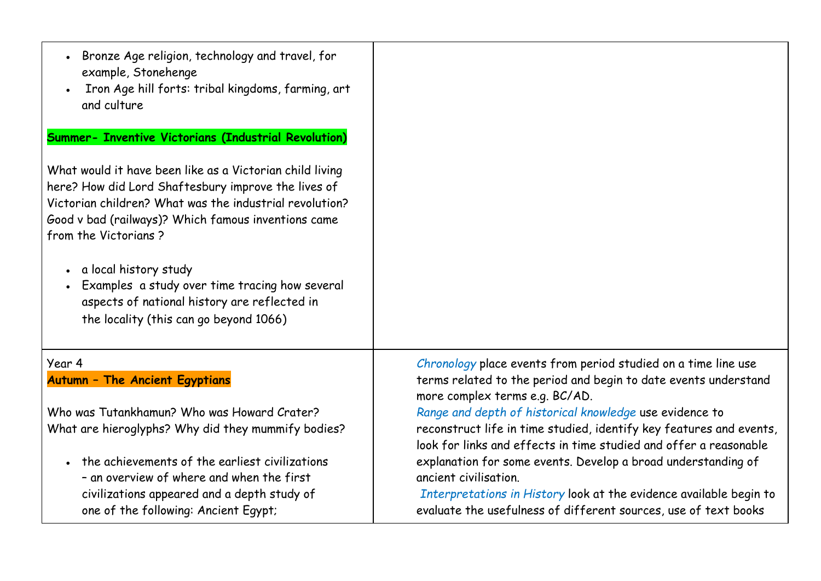| Bronze Age religion, technology and travel, for<br>example, Stonehenge<br>Iron Age hill forts: tribal kingdoms, farming, art<br>and culture                                                                                                               |                                                                                                                                                                                                                                 |
|-----------------------------------------------------------------------------------------------------------------------------------------------------------------------------------------------------------------------------------------------------------|---------------------------------------------------------------------------------------------------------------------------------------------------------------------------------------------------------------------------------|
| <b>Summer- Inventive Victorians (Industrial Revolution)</b>                                                                                                                                                                                               |                                                                                                                                                                                                                                 |
| What would it have been like as a Victorian child living<br>here? How did Lord Shaftesbury improve the lives of<br>Victorian children? What was the industrial revolution?<br>Good v bad (railways)? Which famous inventions came<br>from the Victorians? |                                                                                                                                                                                                                                 |
| • a local history study<br>Examples a study over time tracing how several<br>aspects of national history are reflected in<br>the locality (this can go beyond 1066)                                                                                       |                                                                                                                                                                                                                                 |
| Year 4                                                                                                                                                                                                                                                    | Chronology place events from period studied on a time line use                                                                                                                                                                  |
| <b>Autumn - The Ancient Egyptians</b>                                                                                                                                                                                                                     | terms related to the period and begin to date events understand<br>more complex terms e.g. BC/AD.                                                                                                                               |
| Who was Tutankhamun? Who was Howard Crater?                                                                                                                                                                                                               | Range and depth of historical knowledge use evidence to                                                                                                                                                                         |
| What are hieroglyphs? Why did they mummify bodies?                                                                                                                                                                                                        | reconstruct life in time studied, identify key features and events,<br>look for links and effects in time studied and offer a reasonable                                                                                        |
| the achievements of the earliest civilizations<br>- an overview of where and when the first<br>civilizations appeared and a depth study of<br>one of the following: Ancient Egypt;                                                                        | explanation for some events. Develop a broad understanding of<br>ancient civilisation.<br>Interpretations in History look at the evidence available begin to<br>evaluate the usefulness of different sources, use of text books |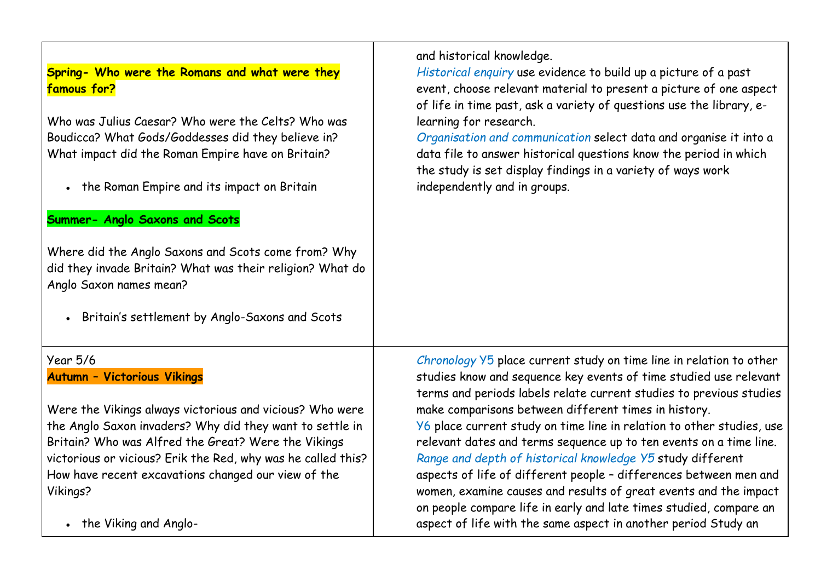**Spring- Who were the Romans and what were they famous for?**

Who was Julius Caesar? Who were the Celts? Who was Boudicca? What Gods/Goddesses did they believe in? What impact did the Roman Empire have on Britain?

• the Roman Empire and its impact on Britain

#### **Summer- Anglo Saxons and Scots**

Where did the Anglo Saxons and Scots come from? Why did they invade Britain? What was their religion? What do Anglo Saxon names mean?

• Britain's settlement by Anglo-Saxons and Scots

## Year 5/6 **Autumn – Victorious Vikings**

Were the Vikings always victorious and vicious? Who were the Anglo Saxon invaders? Why did they want to settle in Britain? Who was Alfred the Great? Were the Vikings victorious or vicious? Erik the Red, why was he called this? How have recent excavations changed our view of the Vikings?

• the Viking and Anglo-

and historical knowledge.

*Historical enquiry* use evidence to build up a picture of a past event, choose relevant material to present a picture of one aspect of life in time past, ask a variety of questions use the library, elearning for research.

*Organisation and communication* select data and organise it into a data file to answer historical questions know the period in which the study is set display findings in a variety of ways work independently and in groups.

*Chronology* Y5 place current study on time line in relation to other studies know and sequence key events of time studied use relevant terms and periods labels relate current studies to previous studies make comparisons between different times in history. Y6 place current study on time line in relation to other studies, use relevant dates and terms sequence up to ten events on a time line. *Range and depth of historical knowledge Y5* study different aspects of life of different people – differences between men and women, examine causes and results of great events and the impact on people compare life in early and late times studied, compare an aspect of life with the same aspect in another period Study an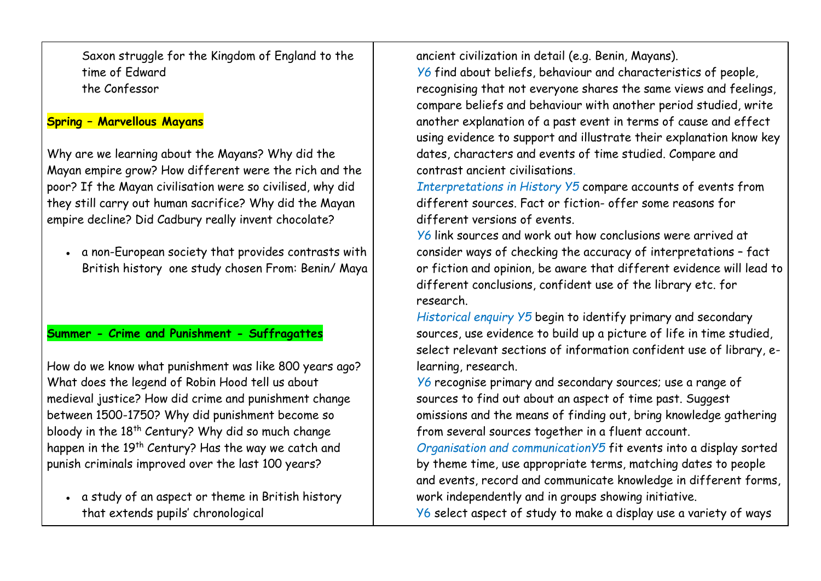Saxon struggle for the Kingdom of England to the time of Edward the Confessor

## **Spring – Marvellous Mayans**

Why are we learning about the Mayans? Why did the Mayan empire grow? How different were the rich and the poor? If the Mayan civilisation were so civilised, why did they still carry out human sacrifice? Why did the Mayan empire decline? Did Cadbury really invent chocolate?

• a non-European society that provides contrasts with British history one study chosen From: Benin/ Maya

## **Summer - Crime and Punishment - Suffragattes**

How do we know what punishment was like 800 years ago? What does the legend of Robin Hood tell us about medieval justice? How did crime and punishment change between 1500-1750? Why did punishment become so bloody in the  $18<sup>th</sup>$  Century? Why did so much change happen in the  $19<sup>th</sup>$  Century? Has the way we catch and punish criminals improved over the last 100 years?

• a study of an aspect or theme in British history that extends pupils' chronological

ancient civilization in detail (e.g. Benin, Mayans).

*Y6* find about beliefs, behaviour and characteristics of people, recognising that not everyone shares the same views and feelings, compare beliefs and behaviour with another period studied, write another explanation of a past event in terms of cause and effect using evidence to support and illustrate their explanation know key dates, characters and events of time studied. Compare and contrast ancient civilisations*.*

*Interpretations in History Y5* compare accounts of events from different sources. Fact or fiction- offer some reasons for different versions of events.

*Y6* link sources and work out how conclusions were arrived at consider ways of checking the accuracy of interpretations – fact or fiction and opinion, be aware that different evidence will lead to different conclusions, confident use of the library etc. for research.

*Historical enquiry Y5* begin to identify primary and secondary sources, use evidence to build up a picture of life in time studied, select relevant sections of information confident use of library, elearning, research.

*Y6* recognise primary and secondary sources; use a range of sources to find out about an aspect of time past. Suggest omissions and the means of finding out, bring knowledge gathering from several sources together in a fluent account.

*Organisation and communicationY5* fit events into a display sorted by theme time, use appropriate terms, matching dates to people and events, record and communicate knowledge in different forms, work independently and in groups showing initiative.

Y6 select aspect of study to make a display use a variety of ways